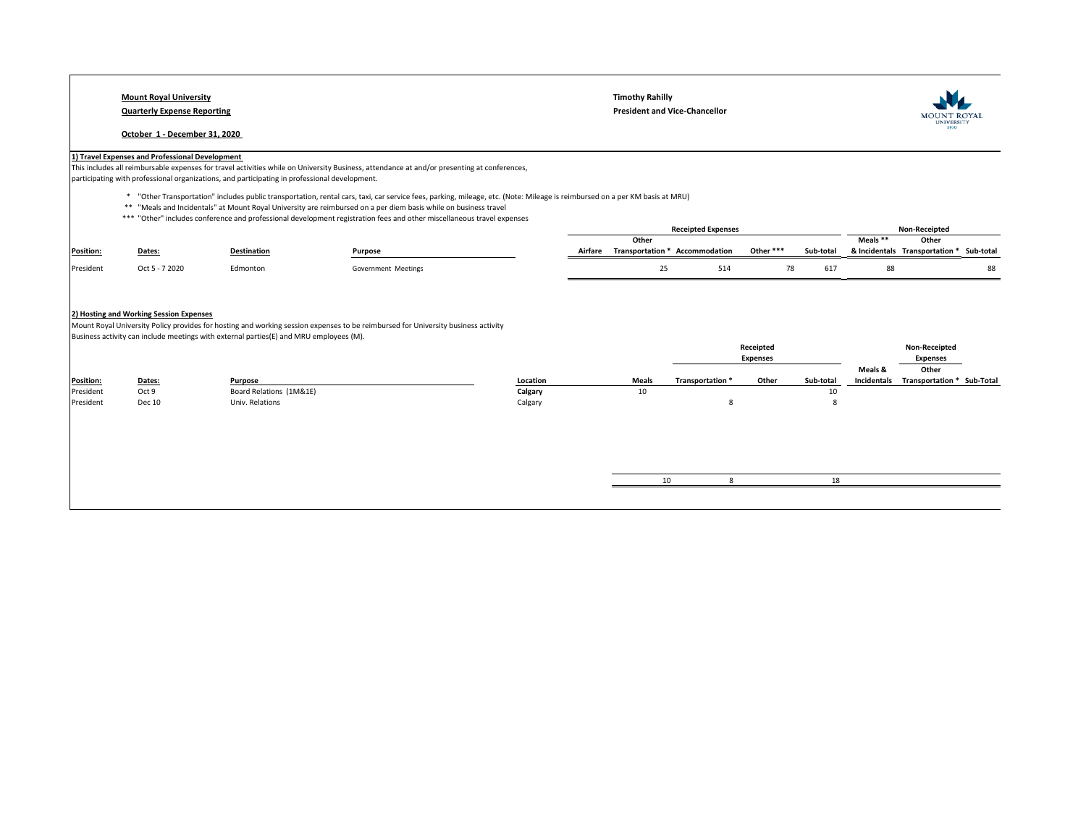# **Mount Royal University Timothy Rahilly**

#### **October 1 - December 31, 2020**

**Quarterly Expense Reporting President and Vice-Chancellor** 



## **1) Travel Expenses and Professional Development**

This includes all reimbursable expenses for travel activities while on University Business, attendance at and/or presenting at conferences,

participating with professional organizations, and participating in professional development.

\* "Other Transportation" includes public transportation, rental cars, taxi, car service fees, parking, mileage, etc. (Note: Mileage is reimbursed on a per KM basis at MRU)

- \*\* "Meals and Incidentals" at Mount Royal University are reimbursed on a per diem basis while on business travel
- \*\*\* "Other" includes conference and professional development registration fees and other miscellaneous travel expenses

|                  |                |                    |                     |         |                  | <b>Receipted Expenses</b> |           |           |          | <b>Non-Receipted</b>                     |  |
|------------------|----------------|--------------------|---------------------|---------|------------------|---------------------------|-----------|-----------|----------|------------------------------------------|--|
|                  |                |                    |                     |         | Other            |                           |           |           | Meals ** | Other                                    |  |
| <b>Position:</b> | Dates:         | <b>Destination</b> | Purpose             | Airfare | Transportation * | Accommodation             | Other *** | Sub-total |          | & Incidentals Transportation * Sub-total |  |
| President        | Oct 5 - 7 2020 | Edmonton           | Government Meetings |         |                  | 514                       |           | 617       |          |                                          |  |
|                  |                |                    |                     |         |                  |                           |           |           |          |                                          |  |

### **2) Hosting and Working Session Expenses**

Mount Royal University Policy provides for hosting and working session expenses to be reimbursed for University business activity Business activity can include meetings with external parties(E) and MRU employees (M).

|                  |        |                         |          |              |                  | Receipted |           |             | <b>Non-Receipted</b>       |
|------------------|--------|-------------------------|----------|--------------|------------------|-----------|-----------|-------------|----------------------------|
|                  |        |                         |          |              |                  | Expenses  |           |             | <b>Expenses</b>            |
|                  |        |                         |          |              |                  |           |           | Meals &     | Other                      |
| <b>Position:</b> | Dates: | Purpose                 | Location | <b>Meals</b> | Transportation * | Other     | Sub-total | Incidentals | Transportation * Sub-Total |
| President        | Oct 9  | Board Relations (1M&1E) | Calgary  | 10           |                  |           | 10        |             |                            |
| President        | Dec 10 | Univ. Relations         | Calgary  |              |                  |           |           |             |                            |
|                  |        |                         |          |              |                  |           |           |             |                            |

|--|